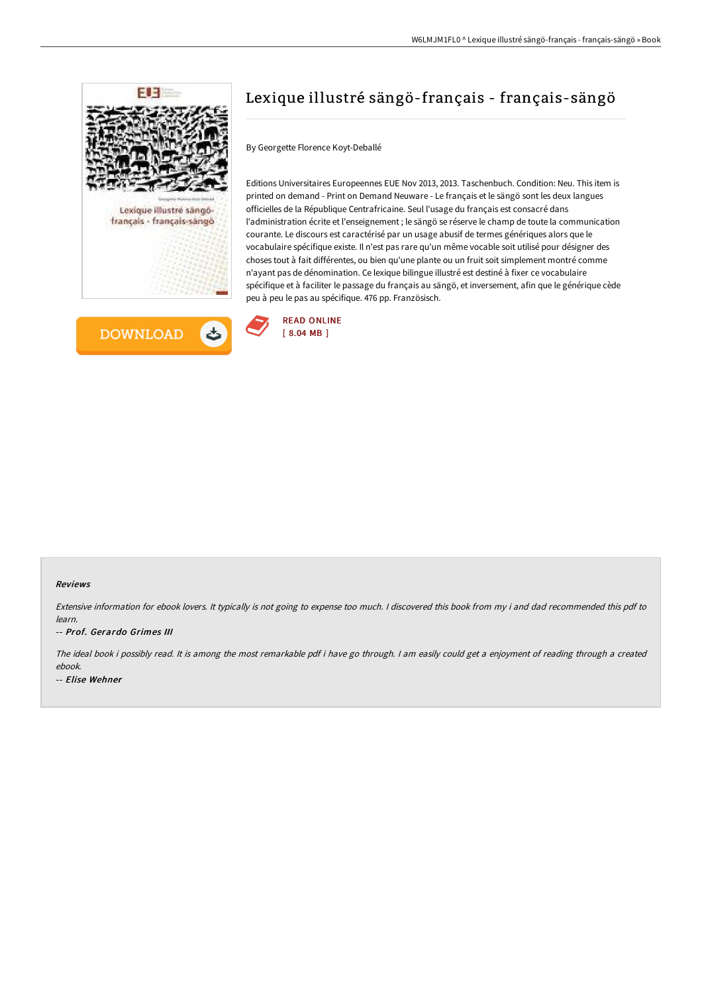



# Lexique illustré sängö-français - français-sängö

By Georgette Florence Koyt-Deballé

Editions Universitaires Europeennes EUE Nov 2013, 2013. Taschenbuch. Condition: Neu. This item is printed on demand - Print on Demand Neuware - Le français et le sängö sont les deux langues officielles de la République Centrafricaine. Seul l'usage du français est consacré dans l'administration écrite et l'enseignement ; le sängö se réserve le champ de toute la communication courante. Le discours est caractérisé par un usage abusif de termes génériques alors que le vocabulaire spécifique existe. Il n'est pas rare qu'un même vocable soit utilisé pour désigner des choses tout à fait différentes, ou bien qu'une plante ou un fruit soit simplement montré comme n'ayant pas de dénomination. Ce lexique bilingue illustré est destiné à fixer ce vocabulaire spécifique et à faciliter le passage du français au sängö, et inversement, afin que le générique cède peu à peu le pas au spécifique. 476 pp. Französisch.



#### Reviews

Extensive information for ebook lovers. It typically is not going to expense too much. <sup>I</sup> discovered this book from my i and dad recommended this pdf to learn.

#### -- Prof. Gerardo Grimes III

The ideal book i possibly read. It is among the most remarkable pdf i have go through. <sup>I</sup> am easily could get <sup>a</sup> enjoyment of reading through <sup>a</sup> created ebook. -- Elise Wehner